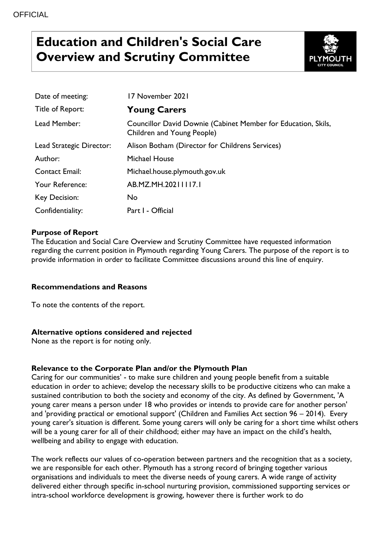# **Education and Children's Social Care Overview and Scrutiny Committee**



| Date of meeting:         | 17 November 2021                                                                            |
|--------------------------|---------------------------------------------------------------------------------------------|
| Title of Report:         | <b>Young Carers</b>                                                                         |
| Lead Member:             | Councillor David Downie (Cabinet Member for Education, Skils,<br>Children and Young People) |
| Lead Strategic Director: | Alison Botham (Director for Childrens Services)                                             |
| Author:                  | <b>Michael House</b>                                                                        |
| <b>Contact Email:</b>    | Michael.house.plymouth.gov.uk                                                               |
| Your Reference:          | AB.MZ.MH.20211117.1                                                                         |
| Key Decision:            | No                                                                                          |
| Confidentiality:         | Part I - Official                                                                           |

## **Purpose of Report**

The Education and Social Care Overview and Scrutiny Committee have requested information regarding the current position in Plymouth regarding Young Carers. The purpose of the report is to provide information in order to facilitate Committee discussions around this line of enquiry.

## **Recommendations and Reasons**

To note the contents of the report.

## **Alternative options considered and rejected**

None as the report is for noting only.

## **Relevance to the Corporate Plan and/or the Plymouth Plan**

Caring for our communities' - to make sure children and young people benefit from a suitable education in order to achieve; develop the necessary skills to be productive citizens who can make a sustained contribution to both the society and economy of the city. As defined by Government, 'A young carer means a person under 18 who provides or intends to provide care for another person' and 'providing practical or emotional support' (Children and Families Act section 96 – 2014). Every young carer's situation is different. Some young carers will only be caring for a short time whilst others will be a young carer for all of their childhood; either may have an impact on the child's health, wellbeing and ability to engage with education.

The work reflects our values of co-operation between partners and the recognition that as a society, we are responsible for each other. Plymouth has a strong record of bringing together various organisations and individuals to meet the diverse needs of young carers. A wide range of activity delivered either through specific in-school nurturing provision, commissioned supporting services or intra-school workforce development is growing, however there is further work to do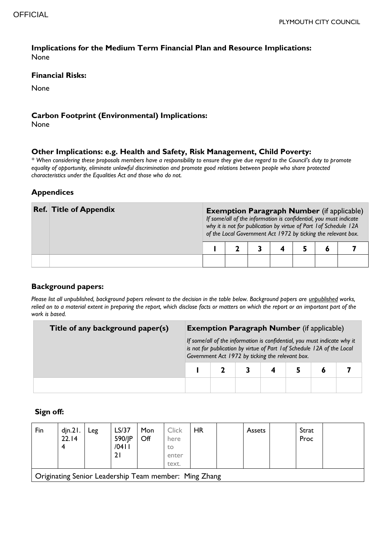## **Implications for the Medium Term Financial Plan and Resource Implications:**  None

#### **Financial Risks:**

None

#### **Carbon Footprint (Environmental) Implications:**

None

#### **Other Implications: e.g. Health and Safety, Risk Management, Child Poverty:**

*\* When considering these proposals members have a responsibility to ensure they give due regard to the Council's duty to promote equality of opportunity, eliminate unlawful discrimination and promote good relations between people who share protected characteristics under the Equalities Act and those who do not.*

## **Appendices**

| <b>Ref. Title of Appendix</b> | <b>Exemption Paragraph Number</b> (if applicable)<br>If some/all of the information is confidential, you must indicate<br>why it is not for publication by virtue of Part 1 of Schedule 12A<br>of the Local Government Act 1972 by ticking the relevant box. |  |  |  |  |  |  |  |
|-------------------------------|--------------------------------------------------------------------------------------------------------------------------------------------------------------------------------------------------------------------------------------------------------------|--|--|--|--|--|--|--|
|                               |                                                                                                                                                                                                                                                              |  |  |  |  |  |  |  |
|                               |                                                                                                                                                                                                                                                              |  |  |  |  |  |  |  |

## **Background papers:**

*Please list all unpublished, background papers relevant to the decision in the table below. Background papers are unpublished works, relied on to a material extent in preparing the report, which disclose facts or matters on which the report or an important part of the work is based.*

| Title of any background paper(s) | <b>Exemption Paragraph Number</b> (if applicable) |                                                                                                                                                                                                         |  |  |  |  |  |  |  |
|----------------------------------|---------------------------------------------------|---------------------------------------------------------------------------------------------------------------------------------------------------------------------------------------------------------|--|--|--|--|--|--|--|
|                                  |                                                   | If some/all of the information is confidential, you must indicate why it<br>is not for publication by virtue of Part 1 of Schedule 12A of the Local<br>Government Act 1972 by ticking the relevant box. |  |  |  |  |  |  |  |
|                                  |                                                   |                                                                                                                                                                                                         |  |  |  |  |  |  |  |
|                                  |                                                   |                                                                                                                                                                                                         |  |  |  |  |  |  |  |

## **Sign off:**

| Fin                                                   | din.21.<br>22.14 | Leg | LS/37<br>590/JP<br>/0411<br>21 | Mon<br>Off | <b>Click</b><br>here<br>to<br>enter<br>text. | <b>HR</b> |  | <b>Assets</b> |  | Strat<br>Proc |  |
|-------------------------------------------------------|------------------|-----|--------------------------------|------------|----------------------------------------------|-----------|--|---------------|--|---------------|--|
| Originating Senior Leadership Team member: Ming Zhang |                  |     |                                |            |                                              |           |  |               |  |               |  |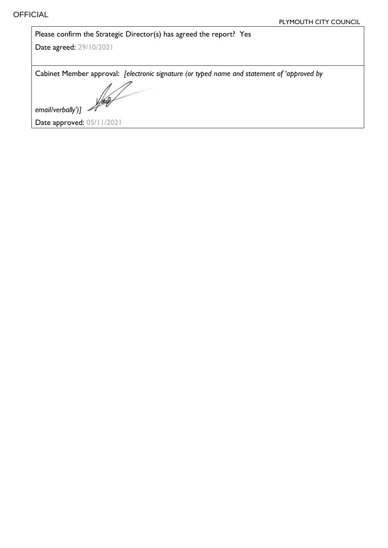| Please confirm the Strategic Director(s) has agreed the report? Yes                         |  |
|---------------------------------------------------------------------------------------------|--|
| Date agreed: 29/10/2021                                                                     |  |
|                                                                                             |  |
| Cabinet Member approval: [electronic signature (or typed name and statement of 'approved by |  |
| Yol                                                                                         |  |
| email/verbally')]                                                                           |  |
| Date approved: 05/11/2021                                                                   |  |
|                                                                                             |  |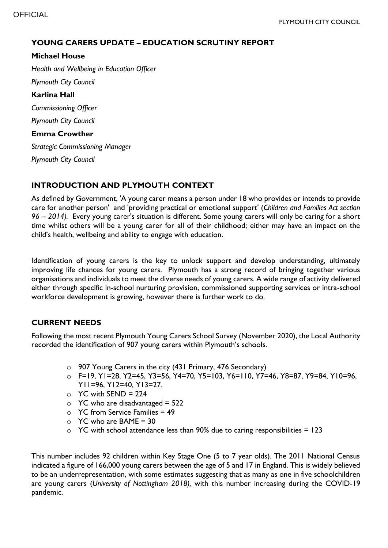## **YOUNG CARERS UPDATE – EDUCATION SCRUTINY REPORT**

## **Michael House**

*Health and Wellbeing in Education Officer*

*Plymouth City Council*

**Karlina Hall** *Commissioning Officer Plymouth City Council*

**Emma Crowther**

*Strategic Commissioning Manager Plymouth City Council*

## **INTRODUCTION AND PLYMOUTH CONTEXT**

As defined by Government, 'A young carer means a person under 18 who provides or intends to provide care for another person' and 'providing practical or emotional support' (*Children and Families Act section 96 – 2014).* Every young carer's situation is different. Some young carers will only be caring for a short time whilst others will be a young carer for all of their childhood; either may have an impact on the child's health, wellbeing and ability to engage with education.

Identification of young carers is the key to unlock support and develop understanding, ultimately improving life chances for young carers. Plymouth has a strong record of bringing together various organisations and individuals to meet the diverse needs of young carers. A wide range of activity delivered either through specific in-school nurturing provision, commissioned supporting services or intra-school workforce development is growing, however there is further work to do.

## **CURRENT NEEDS**

Following the most recent Plymouth Young Carers School Survey (November 2020), the Local Authority recorded the identification of 907 young carers within Plymouth's schools.

- o 907 Young Carers in the city (431 Primary, 476 Secondary)
- o F=19, Y1=28, Y2=45, Y3=56, Y4=70, Y5=103, Y6=110, Y7=46, Y8=87, Y9=84, Y10=96, Y11=96, Y12=40, Y13=27.
- $\circ$  YC with SEND = 224
- $\circ$  YC who are disadvantaged = 522
- $\circ$  YC from Service Families = 49
- $\circ$  YC who are BAME = 30
- $\circ$  YC with school attendance less than 90% due to caring responsibilities = 123

This number includes 92 children within Key Stage One (5 to 7 year olds). The 2011 National Census indicated a figure of 166,000 young carers between the age of 5 and 17 in England. This is widely believed to be an underrepresentation, with some estimates suggesting that as many as one in five schoolchildren are young carers (*University of Nottingham 2018),* with this number increasing during the COVID-19 pandemic.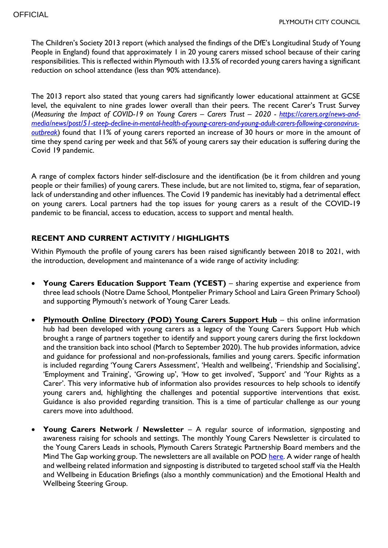The Children's Society 2013 report (which analysed the findings of the DfE's Longitudinal Study of Young People in England) found that approximately 1 in 20 young carers missed school because of their caring responsibilities. This is reflected within Plymouth with 13.5% of recorded young carers having a significant reduction on school attendance (less than 90% attendance).

The 2013 report also stated that young carers had significantly lower educational attainment at GCSE level, the equivalent to nine grades lower overall than their peers. The recent Carer's Trust Survey (*Measuring the Impact of COVID-19 on Young Carers – Carers Trust – 2020 - [https://carers.org/news-and](https://carers.org/news-and-media/news/post/51-steep-decline-in-mental-health-of-young-carers-and-young-adult-carers-following-coronavirus-outbreak)[media/news/post/51-steep-decline-in-mental-health-of-young-carers-and-young-adult-carers-following-coronavirus](https://carers.org/news-and-media/news/post/51-steep-decline-in-mental-health-of-young-carers-and-young-adult-carers-following-coronavirus-outbreak)[outbreak](https://carers.org/news-and-media/news/post/51-steep-decline-in-mental-health-of-young-carers-and-young-adult-carers-following-coronavirus-outbreak)*) found that 11% of young carers reported an increase of 30 hours or more in the amount of time they spend caring per week and that 56% of young carers say their education is suffering during the Covid 19 pandemic.

A range of complex factors hinder self-disclosure and the identification (be it from children and young people or their families) of young carers. These include, but are not limited to, stigma, fear of separation, lack of understanding and other influences. The Covid 19 pandemic has inevitably had a detrimental effect on young carers. Local partners had the top issues for young carers as a result of the COVID-19 pandemic to be financial, access to education, access to support and mental health.

## **RECENT AND CURRENT ACTIVITY / HIGHLIGHTS**

Within Plymouth the profile of young carers has been raised significantly between 2018 to 2021, with the introduction, development and maintenance of a wide range of activity including:

- **Young Carers Education Support Team (YCEST)** sharing expertise and experience from three lead schools (Notre Dame School, Montpelier Primary School and Laira Green Primary School) and supporting Plymouth's network of Young Carer Leads.
- **[Plymouth Online Directory \(POD\) Young Carers Support Hub](https://www.plymouthonlinedirectory.com/childrenandfamilies/plymouthyoungcarers)** this online information hub had been developed with young carers as a legacy of the Young Carers Support Hub which brought a range of partners together to identify and support young carers during the first lockdown and the transition back into school (March to September 2020). The hub provides information, advice and guidance for professional and non-professionals, families and young carers. Specific information is included regarding 'Young Carers Assessment', 'Health and wellbeing', 'Friendship and Socialising', 'Employment and Training', 'Growing up', 'How to get involved', 'Support' and 'Your Rights as a Carer'. This very informative hub of information also provides resources to help schools to identify young carers and, highlighting the challenges and potential supportive interventions that exist. Guidance is also provided regarding transition. This is a time of particular challenge as our young carers move into adulthood.
- **Young Carers Network / Newsletter** A regular source of information, signposting and awareness raising for schools and settings. The monthly Young Carers Newsletter is circulated to the Young Carers Leads in schools, Plymouth Carers Strategic Partnership Board members and the Mind The Gap working group. The newsletters are all available on POD [here.](https://www.plymouthonlinedirectory.com/childrenandfamilies/plymouthyoungcarers/newsletters?returnurl=aHR0cHM6Ly93d3cucGx5bW91dGhvbmxpbmVkaXJlY3RvcnkuY29tL3NlYXJjaD9xPXlvdW5nK2NhcmVycytuZXdzbGV0dGVycw%3d%3d) A wider range of health and wellbeing related information and signposting is distributed to targeted school staff via the Health and Wellbeing in Education Briefings (also a monthly communication) and the Emotional Health and Wellbeing Steering Group.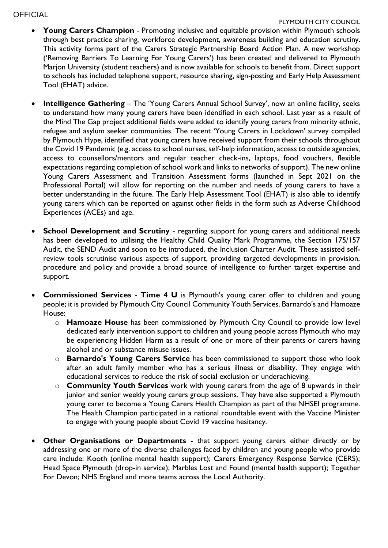## **OFFICIAL**

## PLYMOUTH CITY COUNCIL

- **Young Carers Champion** Promoting inclusive and equitable provision within Plymouth schools through best practice sharing, workforce development, awareness building and education scrutiny. This activity forms part of the Carers Strategic Partnership Board Action Plan. A new workshop ('Removing Barriers To Learning For Young Carers') has been created and delivered to Plymouth Marjon University (student teachers) and is now available for schools to benefit from. Direct support to schools has included telephone support, resource sharing, sign-posting and Early Help Assessment Tool (EHAT) advice.
- **Intelligence Gathering**  The 'Young Carers Annual School Survey', now an online facility, seeks to understand how many young carers have been identified in each school. Last year as a result of the Mind The Gap project additional fields were added to identify young carers from minority ethnic, refugee and asylum seeker communities. The recent 'Young Carers in Lockdown' survey compiled by Plymouth Hype, identified that young carers have received support from their schools throughout the Covid 19 Pandemic (e.g. access to school nurses, self-help information, access to outside agencies, access to counsellors/mentors and regular teacher check-ins, laptops, food vouchers, flexible expectations regarding completion of school work and links to networks of support). The new online Young Carers Assessment and Transition Assessment forms (launched in Sept 2021 on the Professional Portal) will allow for reporting on the number and needs of young carers to have a better understanding in the future. The Early Help Assessment Tool (EHAT) is also able to identify young carers which can be reported on against other fields in the form such as Adverse Childhood Experiences (ACEs) and age.
- **School Development and Scrutiny** regarding support for young carers and additional needs has been developed to utilising the Healthy Child Quality Mark Programme, the Section 175/157 Audit, the SEND Audit and soon to be introduced, the Inclusion Charter Audit. These assisted selfreview tools scrutinise various aspects of support, providing targeted developments in provision, procedure and policy and provide a broad source of intelligence to further target expertise and support.
- **Commissioned Services Time 4 U** is Plymouth's young carer offer to children and young people; it is provided by Plymouth City Council Community Youth Services, Barnardo's and Hamoaze House:
	- o **Hamoaze House** has been commissioned by Plymouth City Council to provide low level dedicated early intervention support to children and young people across Plymouth who may be experiencing Hidden Harm as a result of one or more of their parents or carers having alcohol and or substance misuse issues.
	- o **Barnardo's Young Carers Service** has been commissioned to support those who look after an adult family member who has a serious illness or disability. They engage with educational services to reduce the risk of social exclusion or underachieving.
	- o **Community Youth Services** work with young carers from the age of 8 upwards in their junior and senior weekly young carers group sessions. They have also supported a Plymouth young carer to become a Young Carers Health Champion as part of the NHSEI programme. The Health Champion participated in a national roundtable event with the Vaccine Minister to engage with young people about Covid 19 vaccine hesitancy.
- **Other Organisations or Departments** that support young carers either directly or by addressing one or more of the diverse challenges faced by children and young people who provide care include: Kooth (online mental health support); Carers Emergency Response Service (CERS); Head Space Plymouth (drop-in service); Marbles Lost and Found (mental health support); Together For Devon; NHS England and more teams across the Local Authority.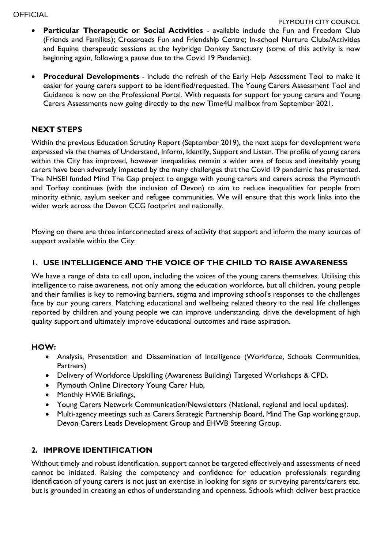**OFFICIAL** 

- **Particular Therapeutic or Social Activities**  available include the Fun and Freedom Club (Friends and Families); Crossroads Fun and Friendship Centre; In-school Nurture Clubs/Activities and Equine therapeutic sessions at the Ivybridge Donkey Sanctuary (some of this activity is now beginning again, following a pause due to the Covid 19 Pandemic).
- **Procedural Developments** include the refresh of the Early Help Assessment Tool to make it easier for young carers support to be identified/requested. The Young Carers Assessment Tool and Guidance is now on the Professional Portal. With requests for support for young carers and Young Carers Assessments now going directly to the new Time4U mailbox from September 2021.

## **NEXT STEPS**

Within the previous Education Scrutiny Report (September 2019), the next steps for development were expressed via the themes of Understand, Inform, Identify, Support and Listen. The profile of young carers within the City has improved, however inequalities remain a wider area of focus and inevitably young carers have been adversely impacted by the many challenges that the Covid 19 pandemic has presented. The NHSEI funded Mind The Gap project to engage with young carers and carers across the Plymouth and Torbay continues (with the inclusion of Devon) to aim to reduce inequalities for people from minority ethnic, asylum seeker and refugee communities. We will ensure that this work links into the wider work across the Devon CCG footprint and nationally.

Moving on there are three interconnected areas of activity that support and inform the many sources of support available within the City:

## **1. USE INTELLIGENCE AND THE VOICE OF THE CHILD TO RAISE AWARENESS**

We have a range of data to call upon, including the voices of the young carers themselves. Utilising this intelligence to raise awareness, not only among the education workforce, but all children, young people and their families is key to removing barriers, stigma and improving school's responses to the challenges face by our young carers. Matching educational and wellbeing related theory to the real life challenges reported by children and young people we can improve understanding, drive the development of high quality support and ultimately improve educational outcomes and raise aspiration.

## **HOW:**

- Analysis, Presentation and Dissemination of Intelligence (Workforce, Schools Communities, Partners)
- Delivery of Workforce Upskilling (Awareness Building) Targeted Workshops & CPD,
- Plymouth Online Directory Young Carer Hub,
- Monthly HWiE Briefings,
- Young Carers Network Communication/Newsletters (National, regional and local updates).
- Multi-agency meetings such as Carers Strategic Partnership Board, Mind The Gap working group, Devon Carers Leads Development Group and EHWB Steering Group.

## **2. IMPROVE IDENTIFICATION**

Without timely and robust identification, support cannot be targeted effectively and assessments of need cannot be initiated. Raising the competency and confidence for education professionals regarding identification of young carers is not just an exercise in looking for signs or surveying parents/carers etc, but is grounded in creating an ethos of understanding and openness. Schools which deliver best practice